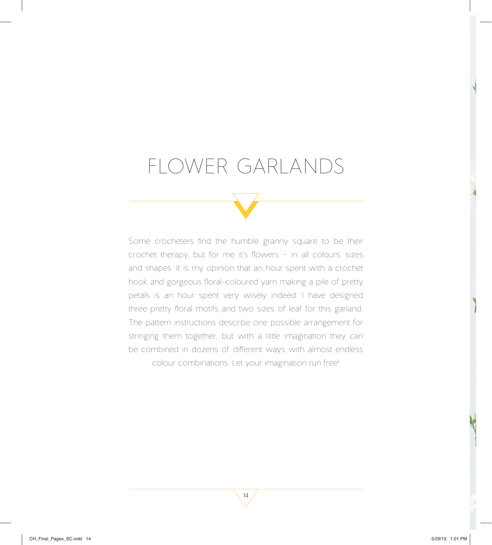# FLOWER GARLANDS

Some crocheters find the humble granny square to be their crochet therapy, but for me it's flowers - in all colours, sizes and shapes. It is my opinion that an hour spent with a crochet hook and gorgeous floral-coloured yarn making a pile of pretty petals is an hour spent very wisely indeed. I have designed three pretty floral motifs and two sizes of leaf for this garland. The pattern instructions describe one possible arrangement for stringing them together, but with a little imagination they can be combined in dozens of different ways with almost endless colour combinations. Let your imagination run free!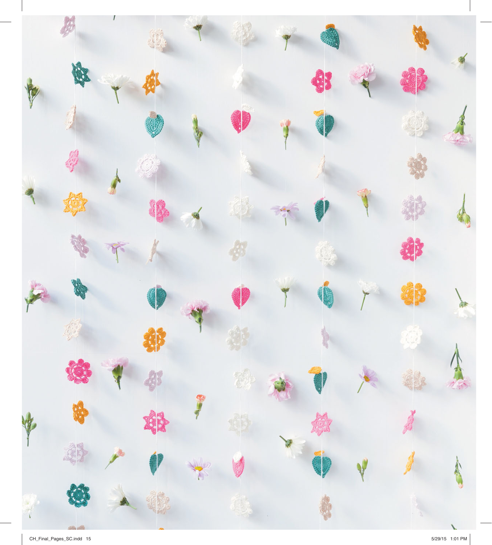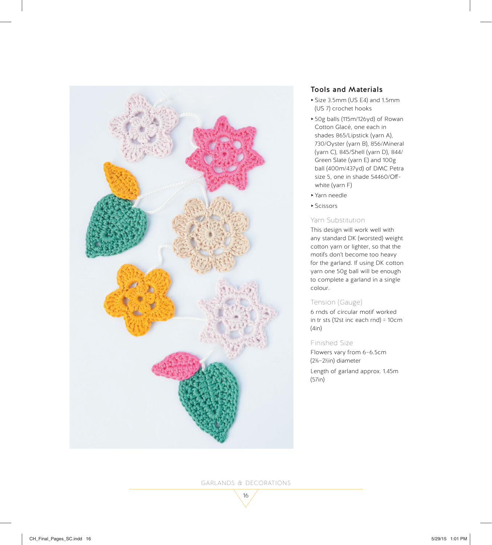

# Tools and Materials

- **F** Size 3.5mm (US E4) and 1.5mm (US 7) crochet hooks
- ▶ 50g balls (115m/126yd) of Rowan Cotton Glacé, one each in shades 865/Lipstick (yarn A), 730/Oyster (yarn B), 856/Mineral (yarn C), 845/Shell (yarn D), 844/ Green Slate (yarn E) and 100g ball (400m/437yd) of DMC Petra size 5, one in shade 54460/Off white (yarn F)
- ▶ Yarn needle
- $\blacktriangleright$  Scissors

# Yarn Substitution

This design will work well with any standard DK (worsted) weight cotton yarn or lighter, so that the motifs don't become too heavy for the garland. If using DK cotton yarn one 50g ball will be enough to complete a garland in a single colour.

#### Tension (Gauge)

6 rnds of circular motif worked in tr sts (12st inc each rnd) = 10cm  $(4in)$ 

### Finished Size

Flowers vary from 6–6.5cm (23 ⁄8–21 ⁄2in) diameter Length of garland approx. 1.45m (57in)

# GARLANDS & DECORATIONS 16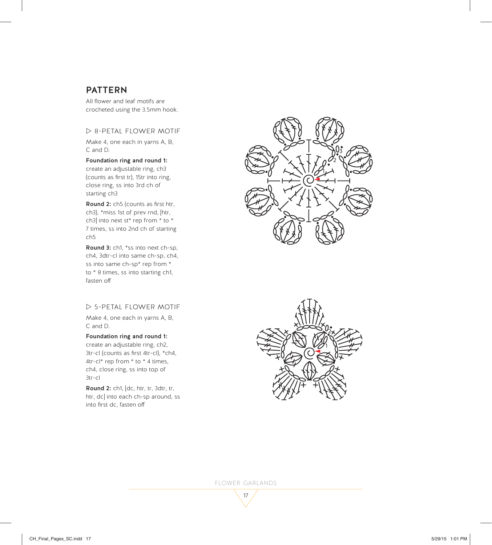# PATTERN

All flower and leaf motifs are crocheted using the 3.5mm hook.

#### $> 8$ -PETAL FLOWER MOTIF

Make 4, one each in yarns A, B, C and D.

Foundation ring and round 1: create an adjustable ring, ch3 (counts as first tr), 15tr into ring, close ring, ss into 3rd ch of starting ch3

Round 2: ch5 (counts as first htr, ch3), \*miss 1st of prev rnd, [htr, ch3] into next st\* rep from \* to \* 7 times, ss into 2nd ch of starting ch5

Round 3: ch1, \*ss into next ch-sp, ch4, 3dtr-cl into same ch-sp, ch4, ss into same ch-sp\* rep from \* to \* 8 times, ss into starting ch1, fasten off

#### $>$  5-PETAL FLOWER MOTIF

Make 4, one each in yarns A, B, C and D.

#### Foundation ring and round 1:

create an adjustable ring, ch2, 3tr-cl (counts as first 4tr-cl), \*ch4, 4tr-cl\* rep from \* to \* 4 times, ch4, close ring, ss into top of 3tr-cl

Round 2: ch1, [dc, htr, tr, 3dtr, tr, htr, dc] into each ch-sp around, ss into first dc, fasten off





FLOWER GARLANDS 17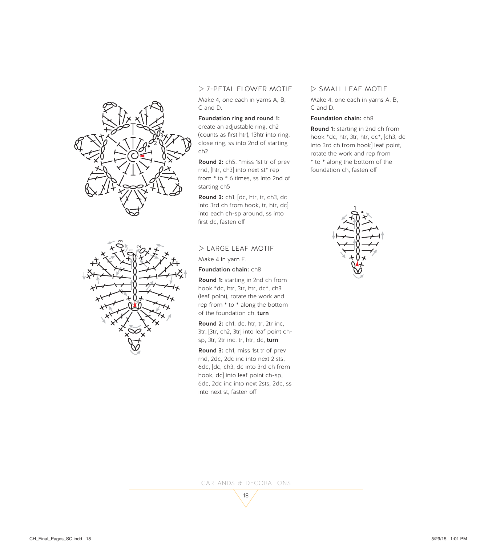



#### $\triangleright$  7-PETAL FLOWER MOTIF

Make 4, one each in yarns A, B, C and D.

### Foundation ring and round 1:

create an adjustable ring, ch2 (counts as first htr), 13htr into ring, close ring, ss into 2nd of starting ch2

Round 2: ch5, \*miss 1st tr of prev rnd, [htr, ch3] into next st\* rep from \* to \* 6 times, ss into 2nd of starting ch5

Round 3: ch1, [dc, htr, tr, ch3, dc into 3rd ch from hook, tr, htr, dc] into each ch-sp around, ss into first dc, fasten off

# $D$  LARGE LEAF MOTIF

Make 4 in yarn E.

Foundation chain: ch8

Round 1: starting in 2nd ch from hook \*dc, htr, 3tr, htr, dc\*, ch3 (leaf point), rotate the work and rep from \* to \* along the bottom of the foundation ch, turn

Round 2: ch1, dc, htr, tr, 2tr inc, 3tr, [3tr, ch2, 3tr] into leaf point chsp, 3tr, 2tr inc, tr, htr, dc, turn

Round 3: ch1, miss 1st tr of prev rnd, 2dc, 2dc inc into next 2 sts, 6dc, [dc, ch3, dc into 3rd ch from hook, dc] into leaf point ch-sp, 6dc, 2dc inc into next 2sts, 2dc, ss into next st, fasten off

#### $>$  SMALL LEAF MOTIF

Make 4, one each in yarns A, B, C and D.

#### Foundation chain: ch8

Round 1: starting in 2nd ch from hook \*dc, htr, 3tr, htr, dc\*, [ch3, dc into 3rd ch from hook] leaf point, rotate the work and rep from \* to \* along the bottom of the foundation ch, fasten off



# GARLANDS & DECORATIONS 18